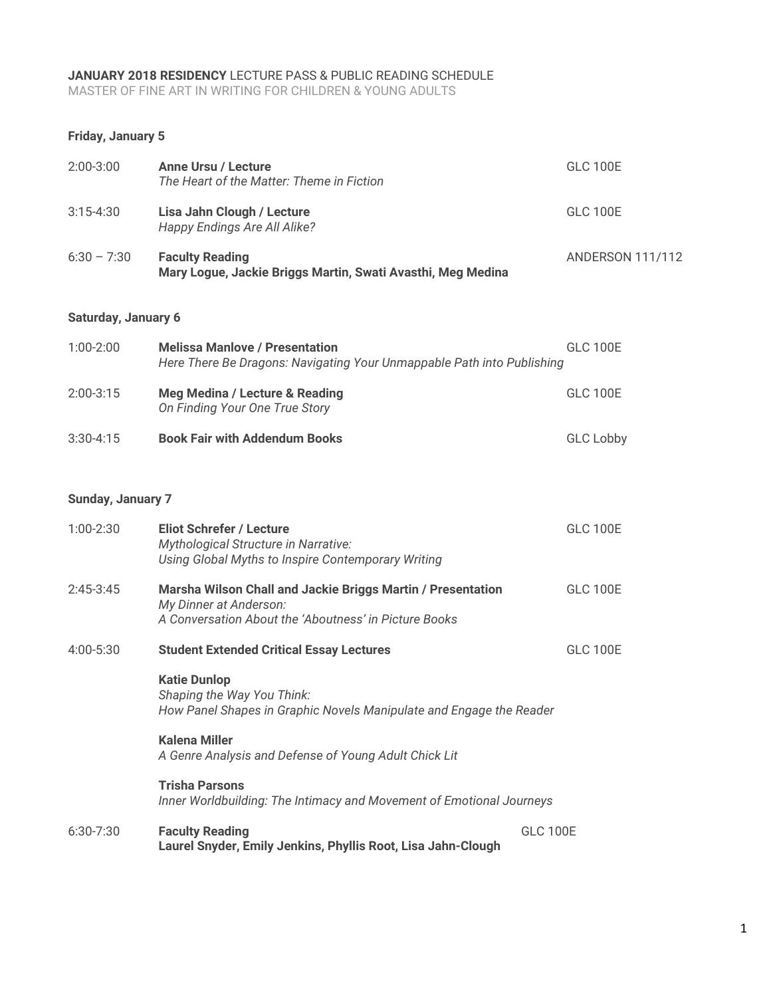#### **JANUARY 2018 RESIDENCY** LECTURE PASS & PUBLIC READING SCHEDULE

MASTER OF FINE ART IN WRITING FOR CHILDREN & YOUNG ADULTS

### **Friday, January 5**

| $2:00-3:00$                | <b>Anne Ursu / Lecture</b><br>The Heart of the Matter: Theme in Fiction                                                                        | <b>GLC 100E</b>         |  |  |
|----------------------------|------------------------------------------------------------------------------------------------------------------------------------------------|-------------------------|--|--|
| $3:15 - 4:30$              | Lisa Jahn Clough / Lecture<br>Happy Endings Are All Alike?                                                                                     | <b>GLC 100E</b>         |  |  |
| $6:30 - 7:30$              | <b>Faculty Reading</b><br>Mary Logue, Jackie Briggs Martin, Swati Avasthi, Meg Medina                                                          | <b>ANDERSON 111/112</b> |  |  |
| <b>Saturday, January 6</b> |                                                                                                                                                |                         |  |  |
| $1:00-2:00$                | <b>Melissa Manlove / Presentation</b><br>Here There Be Dragons: Navigating Your Unmappable Path into Publishing                                | <b>GLC 100E</b>         |  |  |
| $2:00-3:15$                | Meg Medina / Lecture & Reading<br>On Finding Your One True Story                                                                               | <b>GLC 100E</b>         |  |  |
| $3:30 - 4:15$              | <b>Book Fair with Addendum Books</b>                                                                                                           | <b>GLC Lobby</b>        |  |  |
| Sunday, January 7          |                                                                                                                                                |                         |  |  |
| $1:00-2:30$                | <b>Eliot Schrefer / Lecture</b><br>Mythological Structure in Narrative:<br>Using Global Myths to Inspire Contemporary Writing                  | <b>GLC 100E</b>         |  |  |
| $2:45-3:45$                | Marsha Wilson Chall and Jackie Briggs Martin / Presentation<br>My Dinner at Anderson:<br>A Conversation About the 'Aboutness' in Picture Books | <b>GLC 100E</b>         |  |  |
| $4:00 - 5:30$              | <b>Student Extended Critical Essay Lectures</b>                                                                                                | <b>GLC 100E</b>         |  |  |

# **Katie Dunlop**

*Shaping the Way You Think: How Panel Shapes in Graphic Novels Manipulate and Engage the Reader*

### **Kalena Miller**

*A Genre Analysis and Defense of Young Adult Chick Lit*

### **Trisha Parsons**

*Inner Worldbuilding: The Intimacy and Movement of Emotional Journeys*

#### 6:30-7:30 **Faculty Reading** GLC 100E **Laurel Snyder, Emily Jenkins, Phyllis Root, Lisa Jahn-Clough**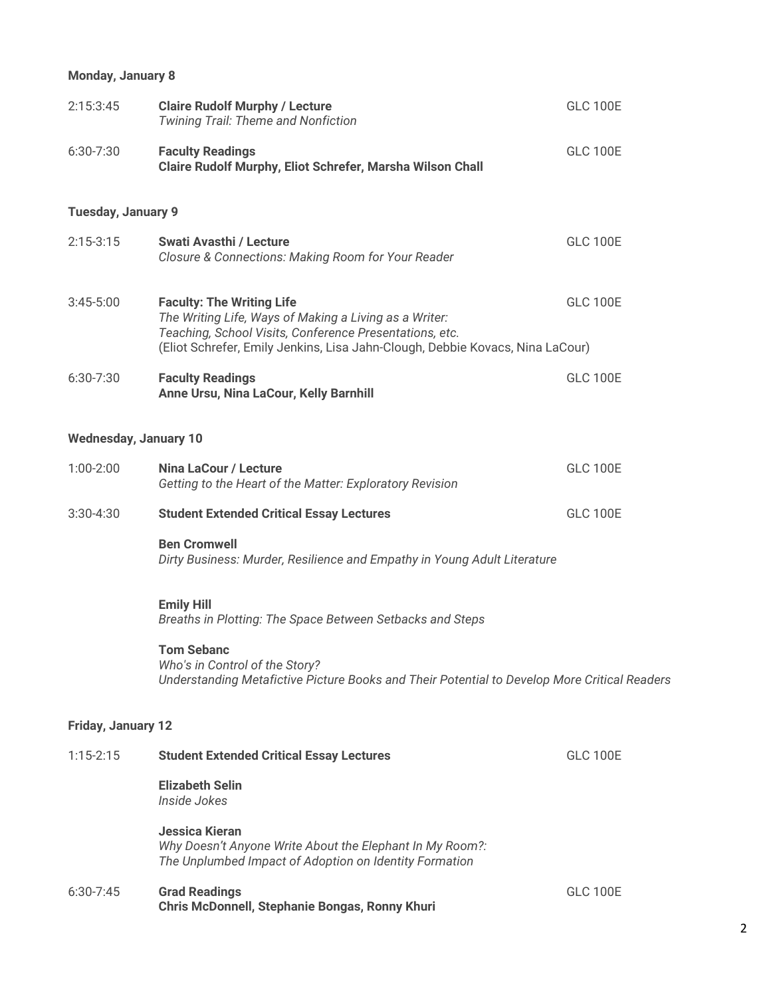## **Monday, January 8**

| 2:15:3:45                    | <b>Claire Rudolf Murphy / Lecture</b><br>Twining Trail: Theme and Nonfiction                                                                                                                                                           | <b>GLC 100E</b> |
|------------------------------|----------------------------------------------------------------------------------------------------------------------------------------------------------------------------------------------------------------------------------------|-----------------|
| 6:30-7:30                    | <b>Faculty Readings</b><br>Claire Rudolf Murphy, Eliot Schrefer, Marsha Wilson Chall                                                                                                                                                   | <b>GLC 100E</b> |
| <b>Tuesday, January 9</b>    |                                                                                                                                                                                                                                        |                 |
| $2:15-3:15$                  | <b>Swati Avasthi / Lecture</b><br>Closure & Connections: Making Room for Your Reader                                                                                                                                                   | <b>GLC 100E</b> |
| $3:45 - 5:00$                | <b>Faculty: The Writing Life</b><br>The Writing Life, Ways of Making a Living as a Writer:<br>Teaching, School Visits, Conference Presentations, etc.<br>(Eliot Schrefer, Emily Jenkins, Lisa Jahn-Clough, Debbie Kovacs, Nina LaCour) | <b>GLC 100E</b> |
| 6:30-7:30                    | <b>Faculty Readings</b><br>Anne Ursu, Nina LaCour, Kelly Barnhill                                                                                                                                                                      | <b>GLC 100E</b> |
| <b>Wednesday, January 10</b> |                                                                                                                                                                                                                                        |                 |
| $1:00-2:00$                  | <b>Nina LaCour / Lecture</b><br>Getting to the Heart of the Matter: Exploratory Revision                                                                                                                                               | <b>GLC 100E</b> |
| $3:30 - 4:30$                | <b>Student Extended Critical Essay Lectures</b>                                                                                                                                                                                        | <b>GLC 100E</b> |
|                              | <b>Ben Cromwell</b><br>Dirty Business: Murder, Resilience and Empathy in Young Adult Literature                                                                                                                                        |                 |
|                              | <b>Emily Hill</b><br>Breaths in Plotting: The Space Between Setbacks and Steps                                                                                                                                                         |                 |
|                              | <b>Tom Sebanc</b><br>Who's in Control of the Story?<br>Understanding Metafictive Picture Books and Their Potential to Develop More Critical Readers                                                                                    |                 |
| Friday, January 12           |                                                                                                                                                                                                                                        |                 |
| $1:15 - 2:15$                | <b>Student Extended Critical Essay Lectures</b>                                                                                                                                                                                        | <b>GLC 100E</b> |
|                              | <b>Elizabeth Selin</b><br>Inside Jokes                                                                                                                                                                                                 |                 |
|                              | <b>Jessica Kieran</b><br>Why Doesn't Anyone Write About the Elephant In My Room?:<br>The Unplumbed Impact of Adoption on Identity Formation                                                                                            |                 |
| $6:30-7:45$                  | <b>Grad Readings</b><br>Chris McDonnell, Stephanie Bongas, Ronny Khuri                                                                                                                                                                 | <b>GLC 100E</b> |